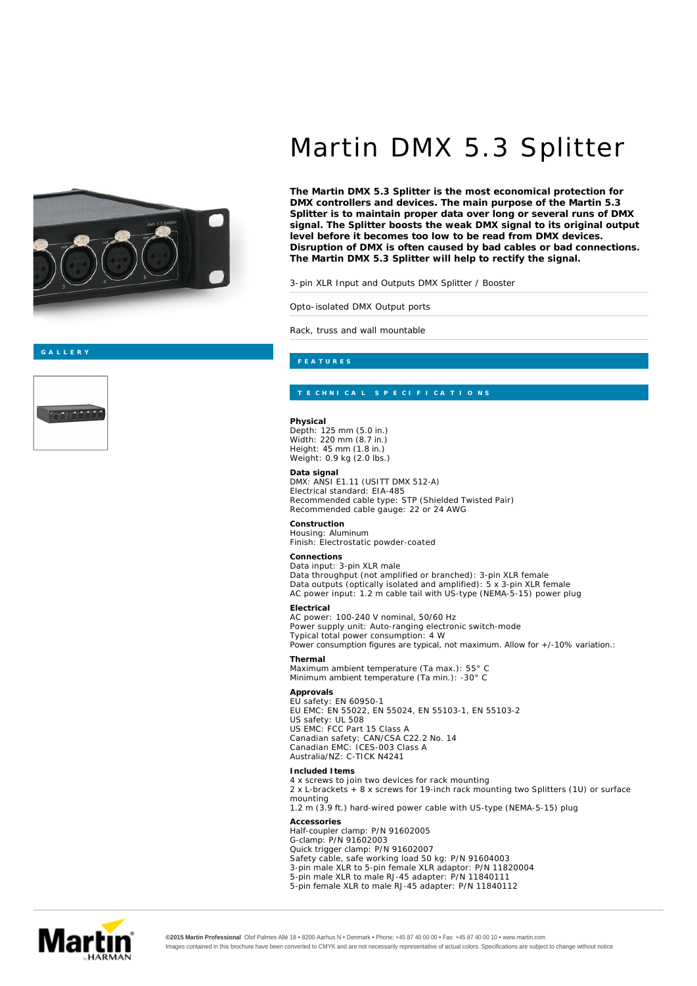

## Martin DMX 5.3 Splitter

**The Martin DMX 5.3 Splitter is the most economical protection for DMX controllers and devices. The main purpose of the Martin 5.3 Splitter is to maintain proper data over long or several runs of DMX signal. The Splitter boosts the weak DMX signal to its original output level before it becomes too low to be read from DMX devices. Disruption of DMX is often caused by bad cables or bad connections. The Martin DMX 5.3 Splitter will help to rectify the signal.**

3-pin XLR Input and Outputs DMX Splitter / Booster

Opto-isolated DMX Output ports

Rack, truss and wall mountable

**Physical** Depth: 125 mm (5.0 in.) Width: 220 mm (8.7 in.) Height: 45 mm (1.8 in.) Weight: 0.9 kg (2.0 lbs.)

**Data signal** DMX: ANSI E1.11 (USITT DMX 512-A) Electrical standard: EIA-485 Recommended cable type: STP (Shielded Twisted Pair) Recommended cable gauge: 22 or 24 AWG

**Construction** Housing: Aluminum Finish: Electrostatic powder-coated

**Connections** Data input: 3-pin XLR male Data throughput (not amplified or branched): 3-pin XLR female Data outputs (optically isolated and amplified): 5 x 3-pin XLR female AC power input: 1.2 m cable tail with US-type (NEMA-5-15) power plug

**Electrical** AC power: 100-240 V nominal, 50/60 Hz Power supply unit: Auto-ranging electronic switch-mode Typical total power consumption: 4 W *Power consumption figures are typical, not maximum. Allow for +/-10% variation.:*

**Thermal** Maximum ambient temperature (Ta max.): 55° C Minimum ambient temperature (Ta min.): -30° C

**Approvals** EU safety: EN 60950-1 EU EMC: EN 55022, EN 55024, EN 55103-1, EN 55103-2 US safety: UL 508 US EMC: FCC Part 15 Class A Canadian safety: CAN/CSA C22.2 No. 14 Canadian EMC: ICES-003 Class A Australia/NZ: C-TICK N4241

**Included Items Accessories** 4 x screws to join two devices for rack mounting 2 x L-brackets + 8 x screws for 19-inch rack mounting two Splitters (1U) or surface mounting 1.2 m (3.9 ft.) hard-wired power cable with US-type (NEMA-5-15) plug Half-coupler clamp: P/N 91602005 G-clamp: P/N 91602003 Quick trigger clamp: P/N 91602007 Safety cable, safe working load 50 kg: P/N 91604003 3-pin male XLR to 5-pin female XLR adaptor: P/N 11820004 5-pin male XLR to male RJ-45 adapter: P/N 11840111 5-pin female XLR to male RJ-45 adapter: P/N 11840112



**©2015 Martin Professional** Olof Palmes Allé 18 • 8200 Aarhus N • Denmark • Phone: +45 87 40 00 00 • Fax: +45 87 40 00 10 • www.martin.com Images contained in this brochure have been converted to CMYK and are not necessarily representative of actual colors. Specifications are subject to change without notice